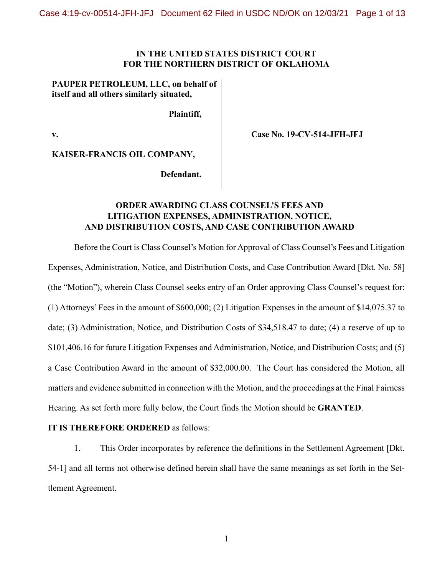## **IN THE UNITED STATES DISTRICT COURT FOR THE NORTHERN DISTRICT OF OKLAHOMA**

## **PAUPER PETROLEUM, LLC, on behalf of itself and all others similarly situated,**

**Plaintiff,**

**v.**

**Case No. 19-CV-514-JFH-JFJ**

**KAISER-FRANCIS OIL COMPANY,**

**Defendant.**

## **ORDER AWARDING CLASS COUNSEL'S FEES AND LITIGATION EXPENSES, ADMINISTRATION, NOTICE, AND DISTRIBUTION COSTS, AND CASE CONTRIBUTION AWARD**

Before the Court is Class Counsel's Motion for Approval of Class Counsel's Fees and Litigation Expenses, Administration, Notice, and Distribution Costs, and Case Contribution Award [Dkt. No. 58] (the "Motion"), wherein Class Counsel seeks entry of an Order approving Class Counsel's request for: (1) Attorneys' Fees in the amount of \$600,000; (2) Litigation Expenses in the amount of \$14,075.37 to date; (3) Administration, Notice, and Distribution Costs of \$34,518.47 to date; (4) a reserve of up to \$101,406.16 for future Litigation Expenses and Administration, Notice, and Distribution Costs; and (5) a Case Contribution Award in the amount of \$32,000.00. The Court has considered the Motion, all matters and evidence submitted in connection with the Motion, and the proceedings at the Final Fairness Hearing. As set forth more fully below, the Court finds the Motion should be **GRANTED**.

## **IT IS THEREFORE ORDERED** as follows:

1. This Order incorporates by reference the definitions in the Settlement Agreement [Dkt. 54-1] and all terms not otherwise defined herein shall have the same meanings as set forth in the Settlement Agreement.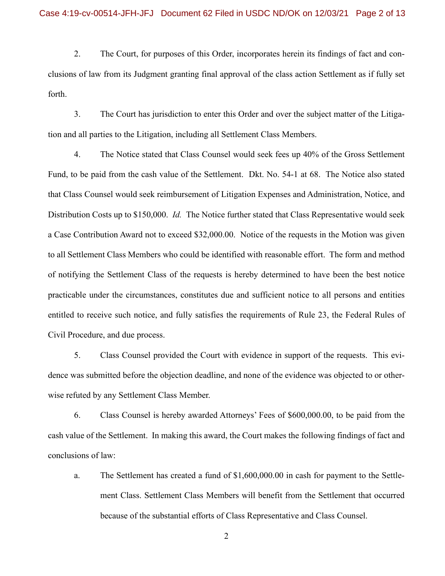2. The Court, for purposes of this Order, incorporates herein its findings of fact and conclusions of law from its Judgment granting final approval of the class action Settlement as if fully set forth.

3. The Court has jurisdiction to enter this Order and over the subject matter of the Litigation and all parties to the Litigation, including all Settlement Class Members.

4. The Notice stated that Class Counsel would seek fees up 40% of the Gross Settlement Fund, to be paid from the cash value of the Settlement. Dkt. No. 54-1 at 68. The Notice also stated that Class Counsel would seek reimbursement of Litigation Expenses and Administration, Notice, and Distribution Costs up to \$150,000. *Id.* The Notice further stated that Class Representative would seek a Case Contribution Award not to exceed \$32,000.00. Notice of the requests in the Motion was given to all Settlement Class Members who could be identified with reasonable effort. The form and method of notifying the Settlement Class of the requests is hereby determined to have been the best notice practicable under the circumstances, constitutes due and sufficient notice to all persons and entities entitled to receive such notice, and fully satisfies the requirements of Rule 23, the Federal Rules of Civil Procedure, and due process.

5. Class Counsel provided the Court with evidence in support of the requests. This evidence was submitted before the objection deadline, and none of the evidence was objected to or otherwise refuted by any Settlement Class Member.

6. Class Counsel is hereby awarded Attorneys' Fees of \$600,000.00, to be paid from the cash value of the Settlement. In making this award, the Court makes the following findings of fact and conclusions of law:

a. The Settlement has created a fund of \$1,600,000.00 in cash for payment to the Settlement Class. Settlement Class Members will benefit from the Settlement that occurred because of the substantial efforts of Class Representative and Class Counsel.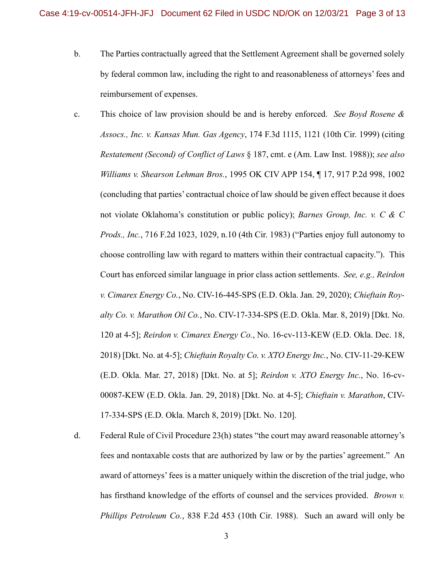- b. The Parties contractually agreed that the Settlement Agreement shall be governed solely by federal common law, including the right to and reasonableness of attorneys' fees and reimbursement of expenses.
- c. This choice of law provision should be and is hereby enforced. *See Boyd Rosene & Assocs., Inc. v. Kansas Mun. Gas Agency*, 174 F.3d 1115, 1121 (10th Cir. 1999) (citing *Restatement (Second) of Conflict of Laws* § 187, cmt. e (Am. Law Inst. 1988)); *see also Williams v. Shearson Lehman Bros.*, 1995 OK CIV APP 154, ¶ 17, 917 P.2d 998, 1002 (concluding that parties' contractual choice of law should be given effect because it does not violate Oklahoma's constitution or public policy); *Barnes Group, Inc. v. C & C Prods., Inc.*, 716 F.2d 1023, 1029, n.10 (4th Cir. 1983) ("Parties enjoy full autonomy to choose controlling law with regard to matters within their contractual capacity."). This Court has enforced similar language in prior class action settlements. *See, e.g., Reirdon v. Cimarex Energy Co.*, No. CIV-16-445-SPS (E.D. Okla. Jan. 29, 2020); *Chieftain Royalty Co. v. Marathon Oil Co.*, No. CIV-17-334-SPS (E.D. Okla. Mar. 8, 2019) [Dkt. No. 120 at 4-5]; *Reirdon v. Cimarex Energy Co.*, No. 16-cv-113-KEW (E.D. Okla. Dec. 18, 2018) [Dkt. No. at 4-5]; *Chieftain Royalty Co. v. XTO Energy Inc.*, No. CIV-11-29-KEW (E.D. Okla. Mar. 27, 2018) [Dkt. No. at 5]; *Reirdon v. XTO Energy Inc.*, No. 16-cv-00087-KEW (E.D. Okla. Jan. 29, 2018) [Dkt. No. at 4-5]; *Chieftain v. Marathon*, CIV-17-334-SPS (E.D. Okla. March 8, 2019) [Dkt. No. 120].
- d. Federal Rule of Civil Procedure 23(h) states "the court may award reasonable attorney's fees and nontaxable costs that are authorized by law or by the parties' agreement." An award of attorneys' fees is a matter uniquely within the discretion of the trial judge, who has firsthand knowledge of the efforts of counsel and the services provided. *Brown v. Phillips Petroleum Co.*, 838 F.2d 453 (10th Cir. 1988). Such an award will only be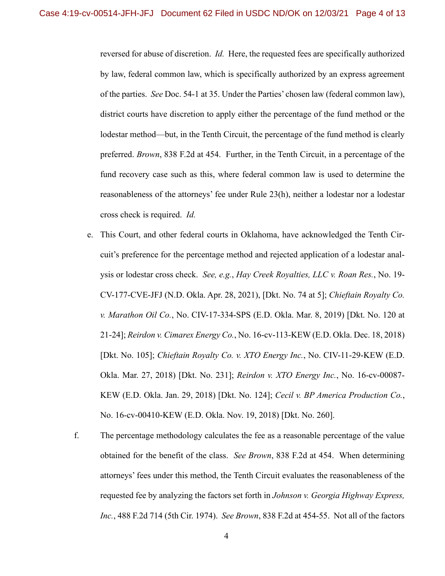reversed for abuse of discretion. *Id.* Here, the requested fees are specifically authorized by law, federal common law, which is specifically authorized by an express agreement of the parties. *See* Doc. 54-1 at 35. Under the Parties' chosen law (federal common law), district courts have discretion to apply either the percentage of the fund method or the lodestar method—but, in the Tenth Circuit, the percentage of the fund method is clearly preferred. *Brown*, 838 F.2d at 454. Further, in the Tenth Circuit, in a percentage of the fund recovery case such as this, where federal common law is used to determine the reasonableness of the attorneys' fee under Rule 23(h), neither a lodestar nor a lodestar cross check is required. *Id.*

- e. This Court, and other federal courts in Oklahoma, have acknowledged the Tenth Circuit's preference for the percentage method and rejected application of a lodestar analysis or lodestar cross check. *See, e.g.*, *Hay Creek Royalties, LLC v. Roan Res.*, No. 19- CV-177-CVE-JFJ (N.D. Okla. Apr. 28, 2021), [Dkt. No. 74 at 5]; *Chieftain Royalty Co. v. Marathon Oil Co.*, No. CIV-17-334-SPS (E.D. Okla. Mar. 8, 2019) [Dkt. No. 120 at 21-24]; *Reirdon v. Cimarex Energy Co.*, No. 16-cv-113-KEW (E.D. Okla. Dec. 18, 2018) [Dkt. No. 105]; *Chieftain Royalty Co. v. XTO Energy Inc.*, No. CIV-11-29-KEW (E.D. Okla. Mar. 27, 2018) [Dkt. No. 231]; *Reirdon v. XTO Energy Inc.*, No. 16-cv-00087- KEW (E.D. Okla. Jan. 29, 2018) [Dkt. No. 124]; *Cecil v. BP America Production Co.*, No. 16-cv-00410-KEW (E.D. Okla. Nov. 19, 2018) [Dkt. No. 260].
- f. The percentage methodology calculates the fee as a reasonable percentage of the value obtained for the benefit of the class. *See Brown*, 838 F.2d at 454. When determining attorneys' fees under this method, the Tenth Circuit evaluates the reasonableness of the requested fee by analyzing the factors set forth in *Johnson v. Georgia Highway Express, Inc.*, 488 F.2d 714 (5th Cir. 1974). *See Brown*, 838 F.2d at 454-55. Not all of the factors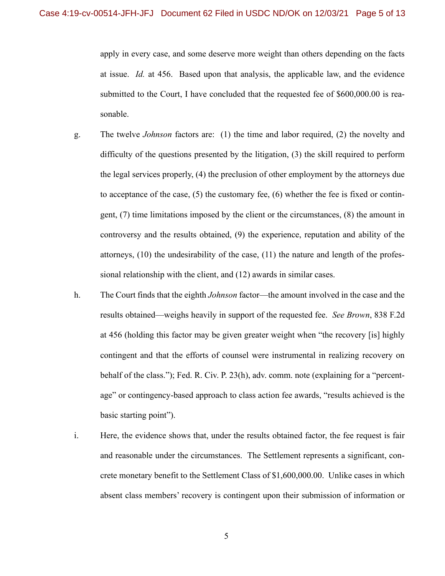apply in every case, and some deserve more weight than others depending on the facts at issue. *Id.* at 456. Based upon that analysis, the applicable law, and the evidence submitted to the Court, I have concluded that the requested fee of \$600,000.00 is reasonable.

- g. The twelve *Johnson* factors are: (1) the time and labor required, (2) the novelty and difficulty of the questions presented by the litigation, (3) the skill required to perform the legal services properly, (4) the preclusion of other employment by the attorneys due to acceptance of the case,  $(5)$  the customary fee,  $(6)$  whether the fee is fixed or contingent, (7) time limitations imposed by the client or the circumstances, (8) the amount in controversy and the results obtained, (9) the experience, reputation and ability of the attorneys, (10) the undesirability of the case, (11) the nature and length of the professional relationship with the client, and (12) awards in similar cases.
- h. The Court finds that the eighth *Johnson* factor—the amount involved in the case and the results obtained—weighs heavily in support of the requested fee. *See Brown*, 838 F.2d at 456 (holding this factor may be given greater weight when "the recovery [is] highly contingent and that the efforts of counsel were instrumental in realizing recovery on behalf of the class."); Fed. R. Civ. P. 23(h), adv. comm. note (explaining for a "percentage" or contingency-based approach to class action fee awards, "results achieved is the basic starting point").
- i. Here, the evidence shows that, under the results obtained factor, the fee request is fair and reasonable under the circumstances. The Settlement represents a significant, concrete monetary benefit to the Settlement Class of \$1,600,000.00. Unlike cases in which absent class members' recovery is contingent upon their submission of information or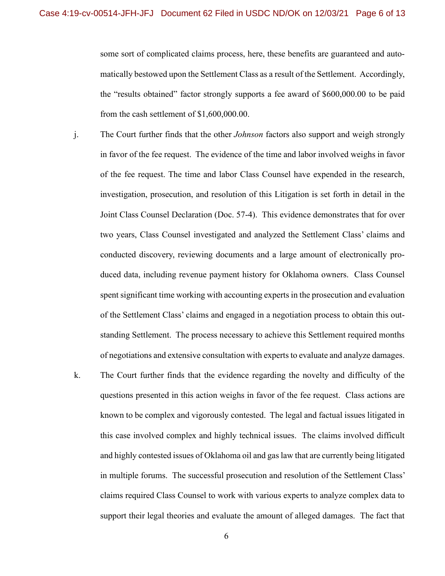some sort of complicated claims process, here, these benefits are guaranteed and automatically bestowed upon the Settlement Class as a result of the Settlement. Accordingly, the "results obtained" factor strongly supports a fee award of \$600,000.00 to be paid from the cash settlement of \$1,600,000.00.

- j. The Court further finds that the other *Johnson* factors also support and weigh strongly in favor of the fee request. The evidence of the time and labor involved weighs in favor of the fee request. The time and labor Class Counsel have expended in the research, investigation, prosecution, and resolution of this Litigation is set forth in detail in the Joint Class Counsel Declaration (Doc. 57-4). This evidence demonstrates that for over two years, Class Counsel investigated and analyzed the Settlement Class' claims and conducted discovery, reviewing documents and a large amount of electronically produced data, including revenue payment history for Oklahoma owners. Class Counsel spent significant time working with accounting experts in the prosecution and evaluation of the Settlement Class' claims and engaged in a negotiation process to obtain this outstanding Settlement. The process necessary to achieve this Settlement required months of negotiations and extensive consultation with experts to evaluate and analyze damages.
- k. The Court further finds that the evidence regarding the novelty and difficulty of the questions presented in this action weighs in favor of the fee request. Class actions are known to be complex and vigorously contested. The legal and factual issues litigated in this case involved complex and highly technical issues. The claims involved difficult and highly contested issues of Oklahoma oil and gas law that are currently being litigated in multiple forums. The successful prosecution and resolution of the Settlement Class' claims required Class Counsel to work with various experts to analyze complex data to support their legal theories and evaluate the amount of alleged damages. The fact that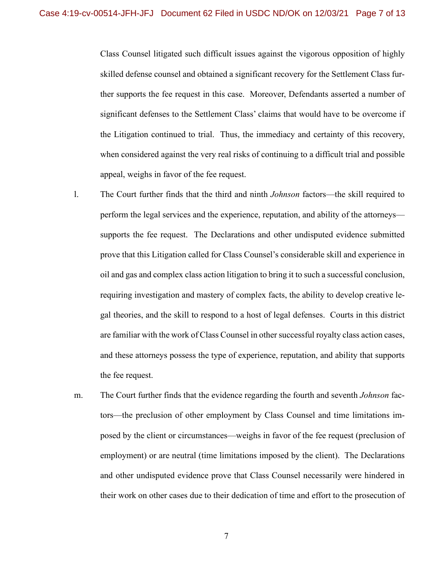Class Counsel litigated such difficult issues against the vigorous opposition of highly skilled defense counsel and obtained a significant recovery for the Settlement Class further supports the fee request in this case. Moreover, Defendants asserted a number of significant defenses to the Settlement Class' claims that would have to be overcome if the Litigation continued to trial. Thus, the immediacy and certainty of this recovery, when considered against the very real risks of continuing to a difficult trial and possible appeal, weighs in favor of the fee request.

- l. The Court further finds that the third and ninth *Johnson* factors—the skill required to perform the legal services and the experience, reputation, and ability of the attorneys supports the fee request. The Declarations and other undisputed evidence submitted prove that this Litigation called for Class Counsel's considerable skill and experience in oil and gas and complex class action litigation to bring it to such a successful conclusion, requiring investigation and mastery of complex facts, the ability to develop creative legal theories, and the skill to respond to a host of legal defenses. Courts in this district are familiar with the work of Class Counsel in other successful royalty class action cases, and these attorneys possess the type of experience, reputation, and ability that supports the fee request.
- m. The Court further finds that the evidence regarding the fourth and seventh *Johnson* factors—the preclusion of other employment by Class Counsel and time limitations imposed by the client or circumstances—weighs in favor of the fee request (preclusion of employment) or are neutral (time limitations imposed by the client). The Declarations and other undisputed evidence prove that Class Counsel necessarily were hindered in their work on other cases due to their dedication of time and effort to the prosecution of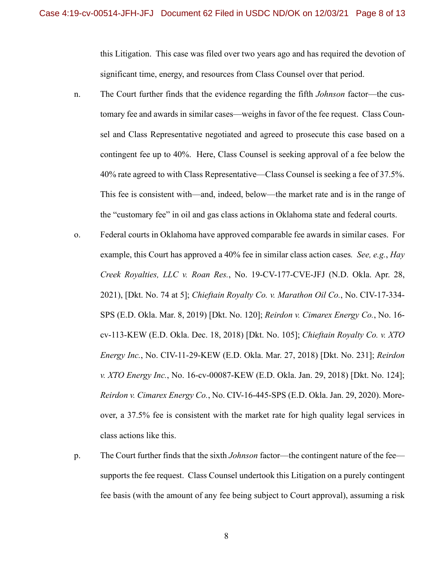this Litigation. This case was filed over two years ago and has required the devotion of significant time, energy, and resources from Class Counsel over that period.

- n. The Court further finds that the evidence regarding the fifth *Johnson* factor—the customary fee and awards in similar cases—weighs in favor of the fee request. Class Counsel and Class Representative negotiated and agreed to prosecute this case based on a contingent fee up to 40%. Here, Class Counsel is seeking approval of a fee below the 40% rate agreed to with Class Representative—Class Counsel is seeking a fee of 37.5%. This fee is consistent with—and, indeed, below—the market rate and is in the range of the "customary fee" in oil and gas class actions in Oklahoma state and federal courts.
- o. Federal courts in Oklahoma have approved comparable fee awards in similar cases. For example, this Court has approved a 40% fee in similar class action cases*. See, e.g.*, *Hay Creek Royalties, LLC v. Roan Res.*, No. 19-CV-177-CVE-JFJ (N.D. Okla. Apr. 28, 2021), [Dkt. No. 74 at 5]; *Chieftain Royalty Co. v. Marathon Oil Co.*, No. CIV-17-334- SPS (E.D. Okla. Mar. 8, 2019) [Dkt. No. 120]; *Reirdon v. Cimarex Energy Co.*, No. 16 cv-113-KEW (E.D. Okla. Dec. 18, 2018) [Dkt. No. 105]; *Chieftain Royalty Co. v. XTO Energy Inc.*, No. CIV-11-29-KEW (E.D. Okla. Mar. 27, 2018) [Dkt. No. 231]; *Reirdon v. XTO Energy Inc.*, No. 16-cv-00087-KEW (E.D. Okla. Jan. 29, 2018) [Dkt. No. 124]; *Reirdon v. Cimarex Energy Co.*, No. CIV-16-445-SPS (E.D. Okla. Jan. 29, 2020). Moreover, a 37.5% fee is consistent with the market rate for high quality legal services in class actions like this.
- p. The Court further finds that the sixth *Johnson* factor—the contingent nature of the fee supports the fee request. Class Counsel undertook this Litigation on a purely contingent fee basis (with the amount of any fee being subject to Court approval), assuming a risk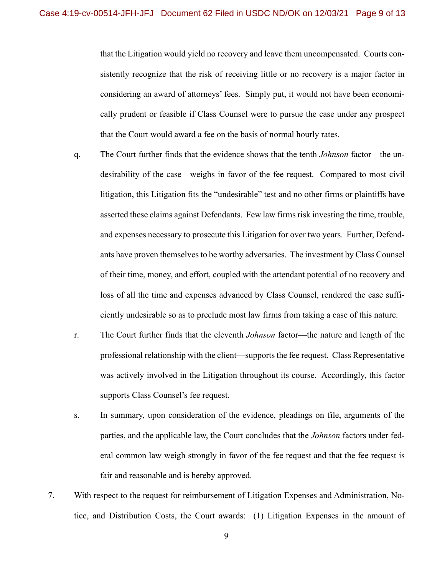that the Litigation would yield no recovery and leave them uncompensated. Courts consistently recognize that the risk of receiving little or no recovery is a major factor in considering an award of attorneys' fees. Simply put, it would not have been economically prudent or feasible if Class Counsel were to pursue the case under any prospect that the Court would award a fee on the basis of normal hourly rates.

- q. The Court further finds that the evidence shows that the tenth *Johnson* factor—the undesirability of the case—weighs in favor of the fee request. Compared to most civil litigation, this Litigation fits the "undesirable" test and no other firms or plaintiffs have asserted these claims against Defendants. Few law firms risk investing the time, trouble, and expenses necessary to prosecute this Litigation for over two years. Further, Defendants have proven themselves to be worthy adversaries. The investment by Class Counsel of their time, money, and effort, coupled with the attendant potential of no recovery and loss of all the time and expenses advanced by Class Counsel, rendered the case sufficiently undesirable so as to preclude most law firms from taking a case of this nature.
- r. The Court further finds that the eleventh *Johnson* factor—the nature and length of the professional relationship with the client—supports the fee request. Class Representative was actively involved in the Litigation throughout its course. Accordingly, this factor supports Class Counsel's fee request.
- s. In summary, upon consideration of the evidence, pleadings on file, arguments of the parties, and the applicable law, the Court concludes that the *Johnson* factors under federal common law weigh strongly in favor of the fee request and that the fee request is fair and reasonable and is hereby approved.
- 7. With respect to the request for reimbursement of Litigation Expenses and Administration, Notice, and Distribution Costs, the Court awards: (1) Litigation Expenses in the amount of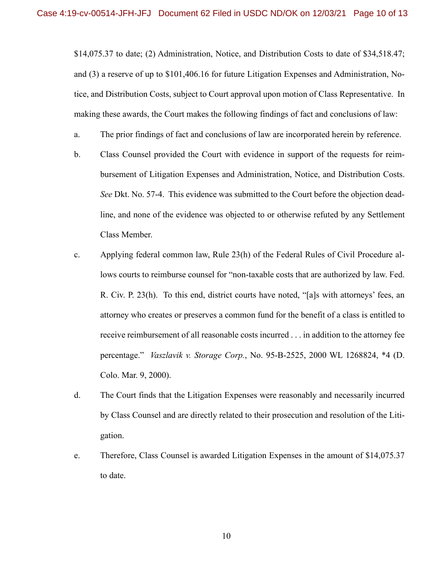\$14,075.37 to date; (2) Administration, Notice, and Distribution Costs to date of \$34,518.47; and (3) a reserve of up to \$101,406.16 for future Litigation Expenses and Administration, Notice, and Distribution Costs, subject to Court approval upon motion of Class Representative. In making these awards, the Court makes the following findings of fact and conclusions of law:

- a. The prior findings of fact and conclusions of law are incorporated herein by reference.
- b. Class Counsel provided the Court with evidence in support of the requests for reimbursement of Litigation Expenses and Administration, Notice, and Distribution Costs. *See* Dkt. No. 57-4. This evidence was submitted to the Court before the objection deadline, and none of the evidence was objected to or otherwise refuted by any Settlement Class Member.
- c. Applying federal common law, Rule 23(h) of the Federal Rules of Civil Procedure allows courts to reimburse counsel for "non-taxable costs that are authorized by law. Fed. R. Civ. P. 23(h). To this end, district courts have noted, "[a]s with attorneys' fees, an attorney who creates or preserves a common fund for the benefit of a class is entitled to receive reimbursement of all reasonable costs incurred . . . in addition to the attorney fee percentage." *Vaszlavik v. Storage Corp.*, No. 95-B-2525, 2000 WL 1268824, \*4 (D. Colo. Mar. 9, 2000).
- d. The Court finds that the Litigation Expenses were reasonably and necessarily incurred by Class Counsel and are directly related to their prosecution and resolution of the Litigation.
- e. Therefore, Class Counsel is awarded Litigation Expenses in the amount of \$14,075.37 to date.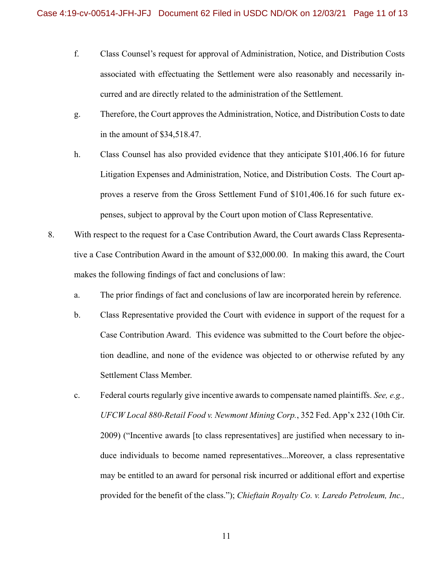- f. Class Counsel's request for approval of Administration, Notice, and Distribution Costs associated with effectuating the Settlement were also reasonably and necessarily incurred and are directly related to the administration of the Settlement.
- g. Therefore, the Court approves the Administration, Notice, and Distribution Costs to date in the amount of \$34,518.47.
- h. Class Counsel has also provided evidence that they anticipate \$101,406.16 for future Litigation Expenses and Administration, Notice, and Distribution Costs. The Court approves a reserve from the Gross Settlement Fund of \$101,406.16 for such future expenses, subject to approval by the Court upon motion of Class Representative.
- 8. With respect to the request for a Case Contribution Award, the Court awards Class Representative a Case Contribution Award in the amount of \$32,000.00. In making this award, the Court makes the following findings of fact and conclusions of law:
	- a. The prior findings of fact and conclusions of law are incorporated herein by reference.
	- b. Class Representative provided the Court with evidence in support of the request for a Case Contribution Award. This evidence was submitted to the Court before the objection deadline, and none of the evidence was objected to or otherwise refuted by any Settlement Class Member.
	- c. Federal courts regularly give incentive awards to compensate named plaintiffs. *See, e.g., UFCW Local 880-Retail Food v. Newmont Mining Corp.*, 352 Fed. App'x 232 (10th Cir. 2009) ("Incentive awards [to class representatives] are justified when necessary to induce individuals to become named representatives...Moreover, a class representative may be entitled to an award for personal risk incurred or additional effort and expertise provided for the benefit of the class."); *Chieftain Royalty Co. v. Laredo Petroleum, Inc.,*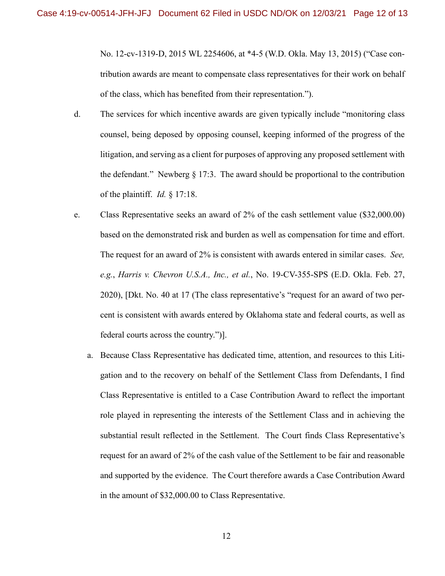No. 12-cv-1319-D, 2015 WL 2254606, at \*4-5 (W.D. Okla. May 13, 2015) ("Case contribution awards are meant to compensate class representatives for their work on behalf of the class, which has benefited from their representation.").

- d. The services for which incentive awards are given typically include "monitoring class counsel, being deposed by opposing counsel, keeping informed of the progress of the litigation, and serving as a client for purposes of approving any proposed settlement with the defendant." Newberg  $\S 17:3$ . The award should be proportional to the contribution of the plaintiff. *Id.* § 17:18.
- e. Class Representative seeks an award of 2% of the cash settlement value (\$32,000.00) based on the demonstrated risk and burden as well as compensation for time and effort. The request for an award of 2% is consistent with awards entered in similar cases. *See, e.g.*, *Harris v. Chevron U.S.A., Inc., et al.*, No. 19-CV-355-SPS (E.D. Okla. Feb. 27, 2020), [Dkt. No. 40 at 17 (The class representative's "request for an award of two percent is consistent with awards entered by Oklahoma state and federal courts, as well as federal courts across the country.")].
	- a. Because Class Representative has dedicated time, attention, and resources to this Litigation and to the recovery on behalf of the Settlement Class from Defendants, I find Class Representative is entitled to a Case Contribution Award to reflect the important role played in representing the interests of the Settlement Class and in achieving the substantial result reflected in the Settlement. The Court finds Class Representative's request for an award of 2% of the cash value of the Settlement to be fair and reasonable and supported by the evidence. The Court therefore awards a Case Contribution Award in the amount of \$32,000.00 to Class Representative.